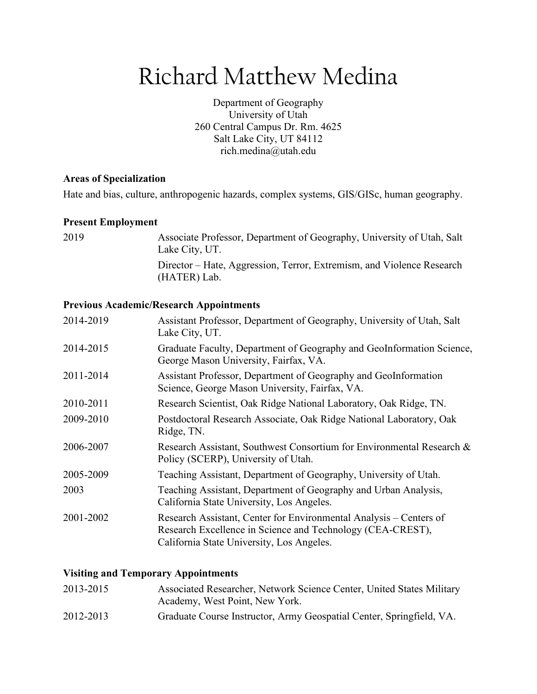# Richard Matthew Medina

Department of Geography University of Utah 260 Central Campus Dr. Rm. 4625 Salt Lake City, UT 84112 rich.medina@utah.edu

#### **Areas of Specialization**

Hate and bias, culture, anthropogenic hazards, complex systems, GIS/GISc, human geography.

#### **Present Employment**

| 2019 | Associate Professor, Department of Geography, University of Utah, Salt<br>Lake City, UT. |
|------|------------------------------------------------------------------------------------------|
|      | Director – Hate, Aggression, Terror, Extremism, and Violence Research<br>(HATER) Lab.    |

## **Previous Academic/Research Appointments**

| 2014-2019 | Assistant Professor, Department of Geography, University of Utah, Salt<br>Lake City, UT.                                                                                      |
|-----------|-------------------------------------------------------------------------------------------------------------------------------------------------------------------------------|
| 2014-2015 | Graduate Faculty, Department of Geography and GeoInformation Science,<br>George Mason University, Fairfax, VA.                                                                |
| 2011-2014 | Assistant Professor, Department of Geography and GeoInformation<br>Science, George Mason University, Fairfax, VA.                                                             |
| 2010-2011 | Research Scientist, Oak Ridge National Laboratory, Oak Ridge, TN.                                                                                                             |
| 2009-2010 | Postdoctoral Research Associate, Oak Ridge National Laboratory, Oak<br>Ridge, TN.                                                                                             |
| 2006-2007 | Research Assistant, Southwest Consortium for Environmental Research &<br>Policy (SCERP), University of Utah.                                                                  |
| 2005-2009 | Teaching Assistant, Department of Geography, University of Utah.                                                                                                              |
| 2003      | Teaching Assistant, Department of Geography and Urban Analysis,<br>California State University, Los Angeles.                                                                  |
| 2001-2002 | Research Assistant, Center for Environmental Analysis – Centers of<br>Research Excellence in Science and Technology (CEA-CREST),<br>California State University, Los Angeles. |

#### **Visiting and Temporary Appointments**

| 2013-2015 | Associated Researcher, Network Science Center, United States Military<br>Academy, West Point, New York. |
|-----------|---------------------------------------------------------------------------------------------------------|
| 2012-2013 | Graduate Course Instructor, Army Geospatial Center, Springfield, VA.                                    |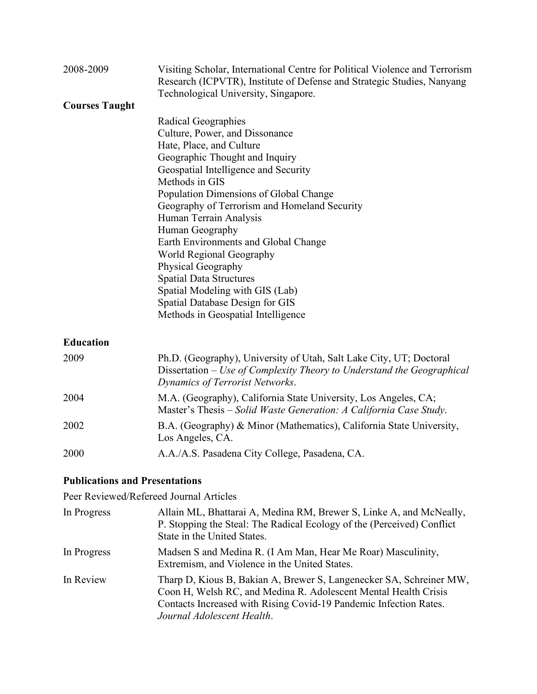| 2008-2009             | Visiting Scholar, International Centre for Political Violence and Terrorism<br>Research (ICPVTR), Institute of Defense and Strategic Studies, Nanyang<br>Technological University, Singapore.                                                                                                                                                                                                                                                                                                                                                                |
|-----------------------|--------------------------------------------------------------------------------------------------------------------------------------------------------------------------------------------------------------------------------------------------------------------------------------------------------------------------------------------------------------------------------------------------------------------------------------------------------------------------------------------------------------------------------------------------------------|
| <b>Courses Taught</b> |                                                                                                                                                                                                                                                                                                                                                                                                                                                                                                                                                              |
|                       | Radical Geographies<br>Culture, Power, and Dissonance<br>Hate, Place, and Culture<br>Geographic Thought and Inquiry<br>Geospatial Intelligence and Security<br>Methods in GIS<br>Population Dimensions of Global Change<br>Geography of Terrorism and Homeland Security<br>Human Terrain Analysis<br>Human Geography<br>Earth Environments and Global Change<br>World Regional Geography<br>Physical Geography<br><b>Spatial Data Structures</b><br>Spatial Modeling with GIS (Lab)<br>Spatial Database Design for GIS<br>Methods in Geospatial Intelligence |
| <b>Education</b>      |                                                                                                                                                                                                                                                                                                                                                                                                                                                                                                                                                              |
| 2009                  | Ph.D. (Geography), University of Utah, Salt Lake City, UT; Doctoral<br>Dissertation – Use of Complexity Theory to Understand the Geographical<br>Dynamics of Terrorist Networks.                                                                                                                                                                                                                                                                                                                                                                             |
| 2004                  | M.A. (Geography), California State University, Los Angeles, CA;<br>Master's Thesis – Solid Waste Generation: A California Case Study.                                                                                                                                                                                                                                                                                                                                                                                                                        |
| 2002                  | B.A. (Geography) & Minor (Mathematics), California State University,<br>Los Angeles, CA.                                                                                                                                                                                                                                                                                                                                                                                                                                                                     |
| 2000                  | A.A./A.S. Pasadena City College, Pasadena, CA.                                                                                                                                                                                                                                                                                                                                                                                                                                                                                                               |

# **Publications and Presentations**

Peer Reviewed/Refereed Journal Articles

| In Progress | Allain ML, Bhattarai A, Medina RM, Brewer S, Linke A, and McNeally,<br>P. Stopping the Steal: The Radical Ecology of the (Perceived) Conflict<br>State in the United States.                                                              |
|-------------|-------------------------------------------------------------------------------------------------------------------------------------------------------------------------------------------------------------------------------------------|
| In Progress | Madsen S and Medina R. (I Am Man, Hear Me Roar) Masculinity,<br>Extremism, and Violence in the United States.                                                                                                                             |
| In Review   | Tharp D, Kious B, Bakian A, Brewer S, Langenecker SA, Schreiner MW,<br>Coon H, Welsh RC, and Medina R. Adolescent Mental Health Crisis<br>Contacts Increased with Rising Covid-19 Pandemic Infection Rates.<br>Journal Adolescent Health. |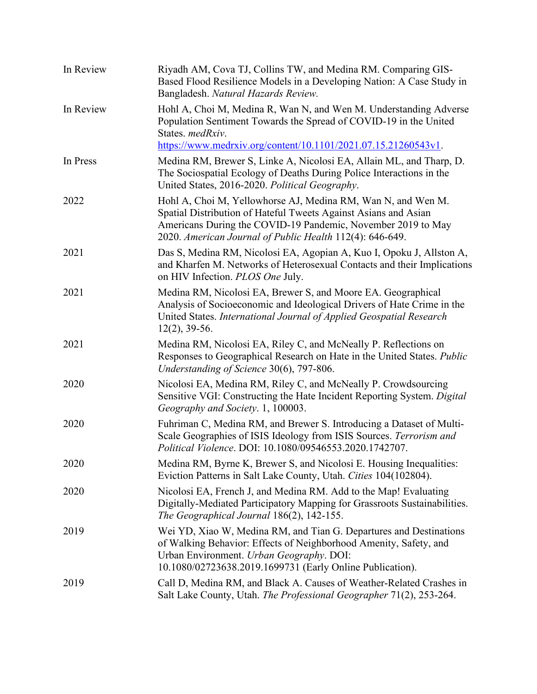| In Review | Riyadh AM, Cova TJ, Collins TW, and Medina RM. Comparing GIS-<br>Based Flood Resilience Models in a Developing Nation: A Case Study in<br>Bangladesh. Natural Hazards Review.                                                                               |
|-----------|-------------------------------------------------------------------------------------------------------------------------------------------------------------------------------------------------------------------------------------------------------------|
| In Review | Hohl A, Choi M, Medina R, Wan N, and Wen M. Understanding Adverse<br>Population Sentiment Towards the Spread of COVID-19 in the United<br>States. medRxiv.<br>https://www.medrxiv.org/content/10.1101/2021.07.15.21260543v1.                                |
| In Press  | Medina RM, Brewer S, Linke A, Nicolosi EA, Allain ML, and Tharp, D.<br>The Sociospatial Ecology of Deaths During Police Interactions in the<br>United States, 2016-2020. Political Geography.                                                               |
| 2022      | Hohl A, Choi M, Yellowhorse AJ, Medina RM, Wan N, and Wen M.<br>Spatial Distribution of Hateful Tweets Against Asians and Asian<br>Americans During the COVID-19 Pandemic, November 2019 to May<br>2020. American Journal of Public Health 112(4): 646-649. |
| 2021      | Das S, Medina RM, Nicolosi EA, Agopian A, Kuo I, Opoku J, Allston A,<br>and Kharfen M. Networks of Heterosexual Contacts and their Implications<br>on HIV Infection. PLOS One July.                                                                         |
| 2021      | Medina RM, Nicolosi EA, Brewer S, and Moore EA. Geographical<br>Analysis of Socioeconomic and Ideological Drivers of Hate Crime in the<br>United States. International Journal of Applied Geospatial Research<br>$12(2)$ , 39-56.                           |
| 2021      | Medina RM, Nicolosi EA, Riley C, and McNeally P. Reflections on<br>Responses to Geographical Research on Hate in the United States. Public<br>Understanding of Science 30(6), 797-806.                                                                      |
| 2020      | Nicolosi EA, Medina RM, Riley C, and McNeally P. Crowdsourcing<br>Sensitive VGI: Constructing the Hate Incident Reporting System. Digital<br>Geography and Society. 1, 100003.                                                                              |
| 2020      | Fuhriman C, Medina RM, and Brewer S. Introducing a Dataset of Multi-<br>Scale Geographies of ISIS Ideology from ISIS Sources. Terrorism and<br>Political Violence. DOI: 10.1080/09546553.2020.1742707.                                                      |
| 2020      | Medina RM, Byrne K, Brewer S, and Nicolosi E. Housing Inequalities:<br>Eviction Patterns in Salt Lake County, Utah. Cities 104(102804).                                                                                                                     |
| 2020      | Nicolosi EA, French J, and Medina RM. Add to the Map! Evaluating<br>Digitally-Mediated Participatory Mapping for Grassroots Sustainabilities.<br>The Geographical Journal 186(2), 142-155.                                                                  |
| 2019      | Wei YD, Xiao W, Medina RM, and Tian G. Departures and Destinations<br>of Walking Behavior: Effects of Neighborhood Amenity, Safety, and<br>Urban Environment. Urban Geography. DOI:<br>10.1080/02723638.2019.1699731 (Early Online Publication).            |
| 2019      | Call D, Medina RM, and Black A. Causes of Weather-Related Crashes in<br>Salt Lake County, Utah. The Professional Geographer 71(2), 253-264.                                                                                                                 |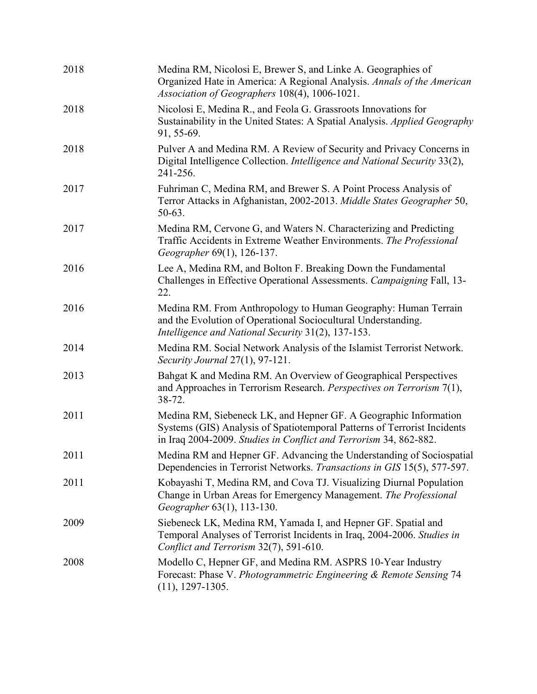| 2018 | Medina RM, Nicolosi E, Brewer S, and Linke A. Geographies of<br>Organized Hate in America: A Regional Analysis. Annals of the American<br>Association of Geographers 108(4), 1006-1021.                           |
|------|-------------------------------------------------------------------------------------------------------------------------------------------------------------------------------------------------------------------|
| 2018 | Nicolosi E, Medina R., and Feola G. Grassroots Innovations for<br>Sustainability in the United States: A Spatial Analysis. Applied Geography<br>91, 55-69.                                                        |
| 2018 | Pulver A and Medina RM. A Review of Security and Privacy Concerns in<br>Digital Intelligence Collection. Intelligence and National Security 33(2),<br>241-256.                                                    |
| 2017 | Fuhriman C, Medina RM, and Brewer S. A Point Process Analysis of<br>Terror Attacks in Afghanistan, 2002-2013. Middle States Geographer 50,<br>50-63.                                                              |
| 2017 | Medina RM, Cervone G, and Waters N. Characterizing and Predicting<br>Traffic Accidents in Extreme Weather Environments. The Professional<br>Geographer 69(1), 126-137.                                            |
| 2016 | Lee A, Medina RM, and Bolton F. Breaking Down the Fundamental<br>Challenges in Effective Operational Assessments. Campaigning Fall, 13-<br>22.                                                                    |
| 2016 | Medina RM. From Anthropology to Human Geography: Human Terrain<br>and the Evolution of Operational Sociocultural Understanding.<br>Intelligence and National Security 31(2), 137-153.                             |
| 2014 | Medina RM. Social Network Analysis of the Islamist Terrorist Network.<br>Security Journal 27(1), 97-121.                                                                                                          |
| 2013 | Bahgat K and Medina RM. An Overview of Geographical Perspectives<br>and Approaches in Terrorism Research. Perspectives on Terrorism 7(1),<br>38-72.                                                               |
| 2011 | Medina RM, Siebeneck LK, and Hepner GF. A Geographic Information<br>Systems (GIS) Analysis of Spatiotemporal Patterns of Terrorist Incidents<br>in Iraq 2004-2009. Studies in Conflict and Terrorism 34, 862-882. |
| 2011 | Medina RM and Hepner GF. Advancing the Understanding of Sociospatial<br>Dependencies in Terrorist Networks. Transactions in GIS 15(5), 577-597.                                                                   |
| 2011 | Kobayashi T, Medina RM, and Cova TJ. Visualizing Diurnal Population<br>Change in Urban Areas for Emergency Management. The Professional<br>Geographer 63(1), 113-130.                                             |
| 2009 | Siebeneck LK, Medina RM, Yamada I, and Hepner GF. Spatial and<br>Temporal Analyses of Terrorist Incidents in Iraq, 2004-2006. Studies in<br>Conflict and Terrorism 32(7), 591-610.                                |
| 2008 | Modello C, Hepner GF, and Medina RM. ASPRS 10-Year Industry<br>Forecast: Phase V. Photogrammetric Engineering & Remote Sensing 74<br>$(11), 1297-1305.$                                                           |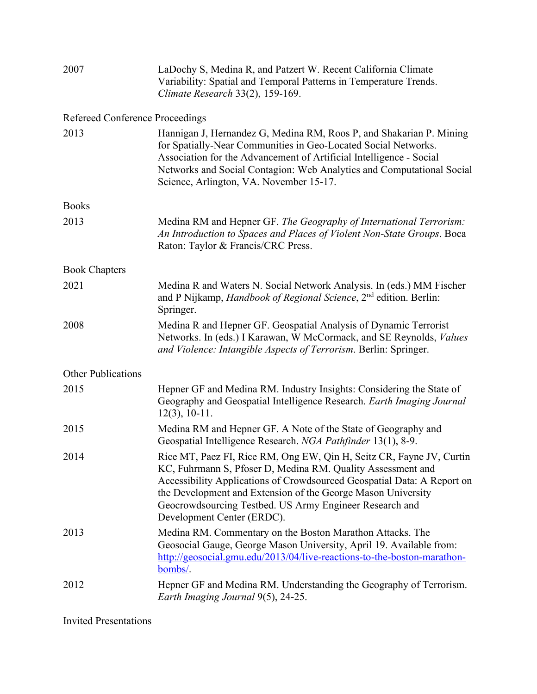| 2007                      | LaDochy S, Medina R, and Patzert W. Recent California Climate<br>Variability: Spatial and Temporal Patterns in Temperature Trends.<br>Climate Research 33(2), 159-169.                                                                                                                                                                                                  |
|---------------------------|-------------------------------------------------------------------------------------------------------------------------------------------------------------------------------------------------------------------------------------------------------------------------------------------------------------------------------------------------------------------------|
|                           | Refereed Conference Proceedings                                                                                                                                                                                                                                                                                                                                         |
| 2013                      | Hannigan J, Hernandez G, Medina RM, Roos P, and Shakarian P. Mining<br>for Spatially-Near Communities in Geo-Located Social Networks.<br>Association for the Advancement of Artificial Intelligence - Social<br>Networks and Social Contagion: Web Analytics and Computational Social<br>Science, Arlington, VA. November 15-17.                                        |
| Books                     |                                                                                                                                                                                                                                                                                                                                                                         |
| 2013                      | Medina RM and Hepner GF. The Geography of International Terrorism:<br>An Introduction to Spaces and Places of Violent Non-State Groups. Boca<br>Raton: Taylor & Francis/CRC Press.                                                                                                                                                                                      |
| <b>Book Chapters</b>      |                                                                                                                                                                                                                                                                                                                                                                         |
| 2021                      | Medina R and Waters N. Social Network Analysis. In (eds.) MM Fischer<br>and P Nijkamp, Handbook of Regional Science, 2 <sup>nd</sup> edition. Berlin:<br>Springer.                                                                                                                                                                                                      |
| 2008                      | Medina R and Hepner GF. Geospatial Analysis of Dynamic Terrorist<br>Networks. In (eds.) I Karawan, W McCormack, and SE Reynolds, Values<br>and Violence: Intangible Aspects of Terrorism. Berlin: Springer.                                                                                                                                                             |
| <b>Other Publications</b> |                                                                                                                                                                                                                                                                                                                                                                         |
| 2015                      | Hepner GF and Medina RM. Industry Insights: Considering the State of<br>Geography and Geospatial Intelligence Research. Earth Imaging Journal<br>$12(3), 10-11.$                                                                                                                                                                                                        |
| 2015                      | Medina RM and Hepner GF. A Note of the State of Geography and<br>Geospatial Intelligence Research. NGA Pathfinder 13(1), 8-9.                                                                                                                                                                                                                                           |
| 2014                      | Rice MT, Paez FI, Rice RM, Ong EW, Qin H, Seitz CR, Fayne JV, Curtin<br>KC, Fuhrmann S, Pfoser D, Medina RM. Quality Assessment and<br>Accessibility Applications of Crowdsourced Geospatial Data: A Report on<br>the Development and Extension of the George Mason University<br>Geocrowdsourcing Testbed. US Army Engineer Research and<br>Development Center (ERDC). |
| 2013                      | Medina RM. Commentary on the Boston Marathon Attacks. The<br>Geosocial Gauge, George Mason University, April 19. Available from:<br>http://geosocial.gmu.edu/2013/04/live-reactions-to-the-boston-marathon-<br>bombs/.                                                                                                                                                  |
| 2012                      | Hepner GF and Medina RM. Understanding the Geography of Terrorism.<br>Earth Imaging Journal 9(5), 24-25.                                                                                                                                                                                                                                                                |

Invited Presentations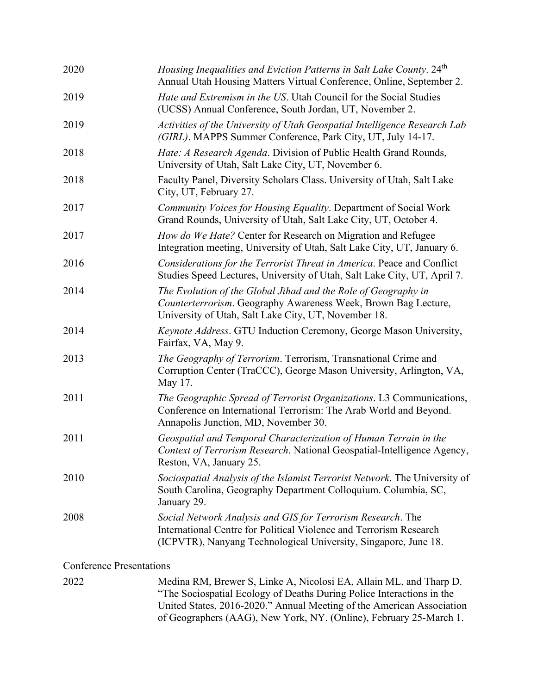| 2020 | Housing Inequalities and Eviction Patterns in Salt Lake County. 24 <sup>th</sup><br>Annual Utah Housing Matters Virtual Conference, Online, September 2.                                             |
|------|------------------------------------------------------------------------------------------------------------------------------------------------------------------------------------------------------|
| 2019 | Hate and Extremism in the US. Utah Council for the Social Studies<br>(UCSS) Annual Conference, South Jordan, UT, November 2.                                                                         |
| 2019 | Activities of the University of Utah Geospatial Intelligence Research Lab<br>(GIRL). MAPPS Summer Conference, Park City, UT, July 14-17.                                                             |
| 2018 | Hate: A Research Agenda. Division of Public Health Grand Rounds,<br>University of Utah, Salt Lake City, UT, November 6.                                                                              |
| 2018 | Faculty Panel, Diversity Scholars Class. University of Utah, Salt Lake<br>City, UT, February 27.                                                                                                     |
| 2017 | Community Voices for Housing Equality. Department of Social Work<br>Grand Rounds, University of Utah, Salt Lake City, UT, October 4.                                                                 |
| 2017 | <i>How do We Hate?</i> Center for Research on Migration and Refugee<br>Integration meeting, University of Utah, Salt Lake City, UT, January 6.                                                       |
| 2016 | Considerations for the Terrorist Threat in America. Peace and Conflict<br>Studies Speed Lectures, University of Utah, Salt Lake City, UT, April 7.                                                   |
| 2014 | The Evolution of the Global Jihad and the Role of Geography in<br>Counterterrorism. Geography Awareness Week, Brown Bag Lecture,<br>University of Utah, Salt Lake City, UT, November 18.             |
| 2014 | Keynote Address. GTU Induction Ceremony, George Mason University,<br>Fairfax, VA, May 9.                                                                                                             |
| 2013 | The Geography of Terrorism. Terrorism, Transnational Crime and<br>Corruption Center (TraCCC), George Mason University, Arlington, VA,<br>May 17.                                                     |
| 2011 | The Geographic Spread of Terrorist Organizations. L3 Communications,<br>Conference on International Terrorism: The Arab World and Beyond.<br>Annapolis Junction, MD, November 30.                    |
| 2011 | Geospatial and Temporal Characterization of Human Terrain in the<br>Context of Terrorism Research. National Geospatial-Intelligence Agency,<br>Reston, VA, January 25.                               |
| 2010 | Sociospatial Analysis of the Islamist Terrorist Network. The University of<br>South Carolina, Geography Department Colloquium. Columbia, SC,<br>January 29.                                          |
| 2008 | Social Network Analysis and GIS for Terrorism Research. The<br>International Centre for Political Violence and Terrorism Research<br>(ICPVTR), Nanyang Technological University, Singapore, June 18. |
|      |                                                                                                                                                                                                      |

Conference Presentations

| 2022 | Medina RM, Brewer S, Linke A, Nicolosi EA, Allain ML, and Tharp D.    |
|------|-----------------------------------------------------------------------|
|      | "The Sociospatial Ecology of Deaths During Police Interactions in the |
|      | United States, 2016-2020." Annual Meeting of the American Association |
|      | of Geographers (AAG), New York, NY. (Online), February 25-March 1.    |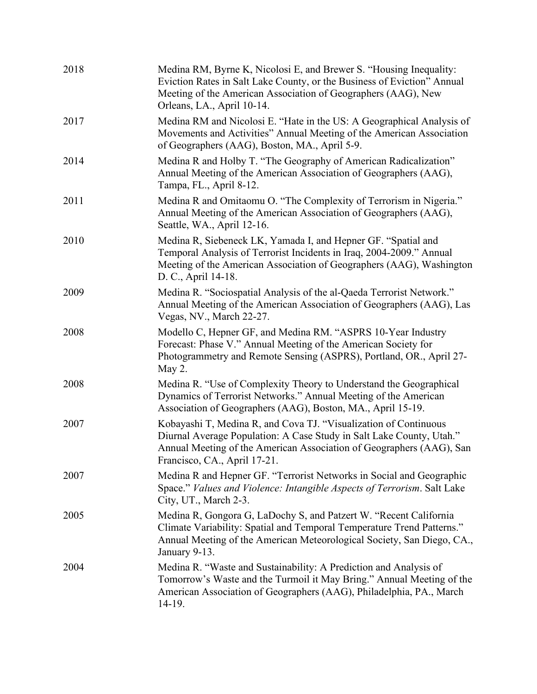| 2018 | Medina RM, Byrne K, Nicolosi E, and Brewer S. "Housing Inequality:<br>Eviction Rates in Salt Lake County, or the Business of Eviction" Annual<br>Meeting of the American Association of Geographers (AAG), New<br>Orleans, LA., April 10-14.     |
|------|--------------------------------------------------------------------------------------------------------------------------------------------------------------------------------------------------------------------------------------------------|
| 2017 | Medina RM and Nicolosi E. "Hate in the US: A Geographical Analysis of<br>Movements and Activities" Annual Meeting of the American Association<br>of Geographers (AAG), Boston, MA., April 5-9.                                                   |
| 2014 | Medina R and Holby T. "The Geography of American Radicalization"<br>Annual Meeting of the American Association of Geographers (AAG),<br>Tampa, FL., April 8-12.                                                                                  |
| 2011 | Medina R and Omitaomu O. "The Complexity of Terrorism in Nigeria."<br>Annual Meeting of the American Association of Geographers (AAG),<br>Seattle, WA., April 12-16.                                                                             |
| 2010 | Medina R, Siebeneck LK, Yamada I, and Hepner GF. "Spatial and<br>Temporal Analysis of Terrorist Incidents in Iraq, 2004-2009." Annual<br>Meeting of the American Association of Geographers (AAG), Washington<br>D. C., April 14-18.             |
| 2009 | Medina R. "Sociospatial Analysis of the al-Qaeda Terrorist Network."<br>Annual Meeting of the American Association of Geographers (AAG), Las<br>Vegas, NV., March 22-27.                                                                         |
| 2008 | Modello C, Hepner GF, and Medina RM. "ASPRS 10-Year Industry<br>Forecast: Phase V." Annual Meeting of the American Society for<br>Photogrammetry and Remote Sensing (ASPRS), Portland, OR., April 27-<br>May 2.                                  |
| 2008 | Medina R. "Use of Complexity Theory to Understand the Geographical<br>Dynamics of Terrorist Networks." Annual Meeting of the American<br>Association of Geographers (AAG), Boston, MA., April 15-19.                                             |
| 2007 | Kobayashi T, Medina R, and Cova TJ. "Visualization of Continuous<br>Diurnal Average Population: A Case Study in Salt Lake County, Utah."<br>Annual Meeting of the American Association of Geographers (AAG), San<br>Francisco, CA., April 17-21. |
| 2007 | Medina R and Hepner GF. "Terrorist Networks in Social and Geographic<br>Space." Values and Violence: Intangible Aspects of Terrorism. Salt Lake<br>City, UT., March 2-3.                                                                         |
| 2005 | Medina R, Gongora G, LaDochy S, and Patzert W. "Recent California<br>Climate Variability: Spatial and Temporal Temperature Trend Patterns."<br>Annual Meeting of the American Meteorological Society, San Diego, CA.,<br>January 9-13.           |
| 2004 | Medina R. "Waste and Sustainability: A Prediction and Analysis of<br>Tomorrow's Waste and the Turmoil it May Bring." Annual Meeting of the<br>American Association of Geographers (AAG), Philadelphia, PA., March<br>14-19.                      |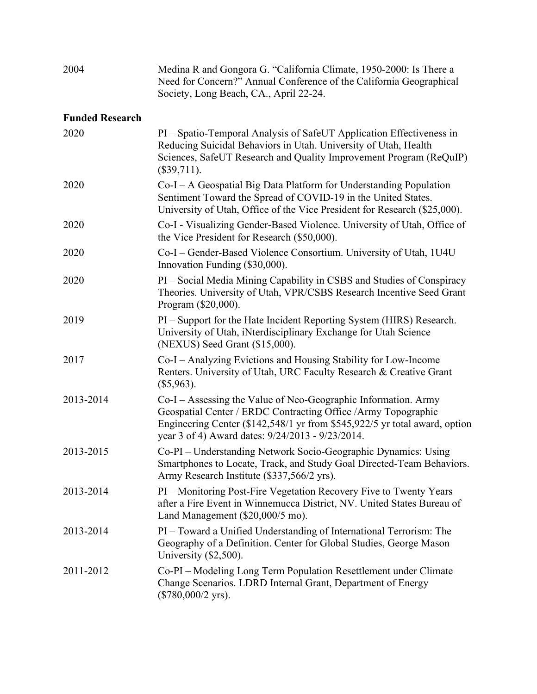| 2004                   | Medina R and Gongora G. "California Climate, 1950-2000: Is There a<br>Need for Concern?" Annual Conference of the California Geographical<br>Society, Long Beach, CA., April 22-24.                                                                                |
|------------------------|--------------------------------------------------------------------------------------------------------------------------------------------------------------------------------------------------------------------------------------------------------------------|
| <b>Funded Research</b> |                                                                                                                                                                                                                                                                    |
| 2020                   | PI – Spatio-Temporal Analysis of SafeUT Application Effectiveness in<br>Reducing Suicidal Behaviors in Utah. University of Utah, Health<br>Sciences, SafeUT Research and Quality Improvement Program (ReQuIP)<br>(\$39,711).                                       |
| 2020                   | Co-I – A Geospatial Big Data Platform for Understanding Population<br>Sentiment Toward the Spread of COVID-19 in the United States.<br>University of Utah, Office of the Vice President for Research (\$25,000).                                                   |
| 2020                   | Co-I - Visualizing Gender-Based Violence. University of Utah, Office of<br>the Vice President for Research (\$50,000).                                                                                                                                             |
| 2020                   | Co-I – Gender-Based Violence Consortium. University of Utah, 1U4U<br>Innovation Funding (\$30,000).                                                                                                                                                                |
| 2020                   | PI – Social Media Mining Capability in CSBS and Studies of Conspiracy<br>Theories. University of Utah, VPR/CSBS Research Incentive Seed Grant<br>Program (\$20,000).                                                                                               |
| 2019                   | PI – Support for the Hate Incident Reporting System (HIRS) Research.<br>University of Utah, iNterdisciplinary Exchange for Utah Science<br>(NEXUS) Seed Grant (\$15,000).                                                                                          |
| 2017                   | Co-I – Analyzing Evictions and Housing Stability for Low-Income<br>Renters. University of Utah, URC Faculty Research & Creative Grant<br>$(\$5,963).$                                                                                                              |
| 2013-2014              | Co-I – Assessing the Value of Neo-Geographic Information. Army<br>Geospatial Center / ERDC Contracting Office / Army Topographic<br>Engineering Center (\$142,548/1 yr from \$545,922/5 yr total award, option<br>year 3 of 4) Award dates: 9/24/2013 - 9/23/2014. |
| 2013-2015              | Co-PI - Understanding Network Socio-Geographic Dynamics: Using<br>Smartphones to Locate, Track, and Study Goal Directed-Team Behaviors.<br>Army Research Institute (\$337,566/2 yrs).                                                                              |
| 2013-2014              | PI – Monitoring Post-Fire Vegetation Recovery Five to Twenty Years<br>after a Fire Event in Winnemucca District, NV. United States Bureau of<br>Land Management (\$20,000/5 mo).                                                                                   |
| 2013-2014              | PI - Toward a Unified Understanding of International Terrorism: The<br>Geography of a Definition. Center for Global Studies, George Mason<br>University $(\$2,500)$ .                                                                                              |
| 2011-2012              | Co-PI – Modeling Long Term Population Resettlement under Climate<br>Change Scenarios. LDRD Internal Grant, Department of Energy<br>$(\$780,000/2$ yrs).                                                                                                            |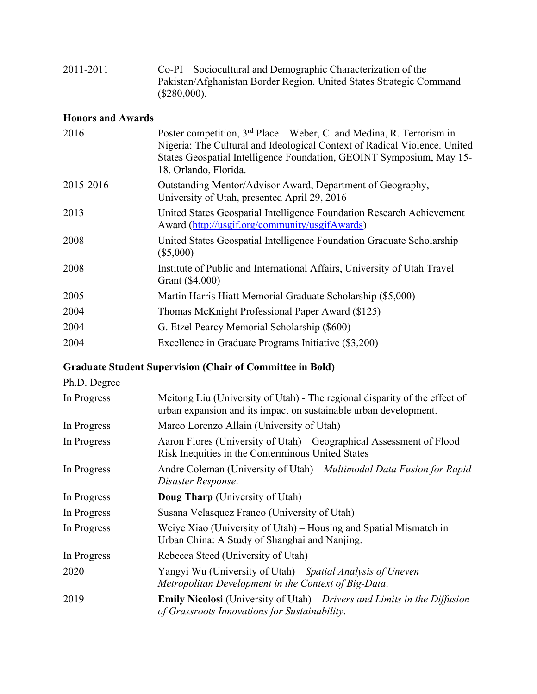| 2011-2011 | Co-PI – Sociocultural and Demographic Characterization of the       |
|-----------|---------------------------------------------------------------------|
|           | Pakistan/Afghanistan Border Region. United States Strategic Command |
|           | (\$280,000).                                                        |

## **Honors and Awards**

| 2016      | Poster competition, $3rd$ Place – Weber, C. and Medina, R. Terrorism in<br>Nigeria: The Cultural and Ideological Context of Radical Violence. United<br>States Geospatial Intelligence Foundation, GEOINT Symposium, May 15-<br>18, Orlando, Florida. |
|-----------|-------------------------------------------------------------------------------------------------------------------------------------------------------------------------------------------------------------------------------------------------------|
| 2015-2016 | Outstanding Mentor/Advisor Award, Department of Geography,<br>University of Utah, presented April 29, 2016                                                                                                                                            |
| 2013      | United States Geospatial Intelligence Foundation Research Achievement<br>Award (http://usgif.org/community/usgifAwards)                                                                                                                               |
| 2008      | United States Geospatial Intelligence Foundation Graduate Scholarship<br>$(\$5,000)$                                                                                                                                                                  |
| 2008      | Institute of Public and International Affairs, University of Utah Travel<br>Grant (\$4,000)                                                                                                                                                           |
| 2005      | Martin Harris Hiatt Memorial Graduate Scholarship (\$5,000)                                                                                                                                                                                           |
| 2004      | Thomas McKnight Professional Paper Award (\$125)                                                                                                                                                                                                      |
| 2004      | G. Etzel Pearcy Memorial Scholarship (\$600)                                                                                                                                                                                                          |
| 2004      | Excellence in Graduate Programs Initiative (\$3,200)                                                                                                                                                                                                  |
|           |                                                                                                                                                                                                                                                       |

# **Graduate Student Supervision (Chair of Committee in Bold)**

#### Ph.D. Degree

| In Progress | Meitong Liu (University of Utah) - The regional disparity of the effect of<br>urban expansion and its impact on sustainable urban development. |
|-------------|------------------------------------------------------------------------------------------------------------------------------------------------|
| In Progress | Marco Lorenzo Allain (University of Utah)                                                                                                      |
| In Progress | Aaron Flores (University of Utah) – Geographical Assessment of Flood<br>Risk Inequities in the Conterminous United States                      |
| In Progress | Andre Coleman (University of Utah) - Multimodal Data Fusion for Rapid<br>Disaster Response.                                                    |
| In Progress | <b>Doug Tharp</b> (University of Utah)                                                                                                         |
| In Progress | Susana Velasquez Franco (University of Utah)                                                                                                   |
| In Progress | Weiye Xiao (University of Utah) – Housing and Spatial Mismatch in<br>Urban China: A Study of Shanghai and Nanjing.                             |
| In Progress | Rebecca Steed (University of Utah)                                                                                                             |
| 2020        | Yangyi Wu (University of Utah) – Spatial Analysis of Uneven<br>Metropolitan Development in the Context of Big-Data.                            |
| 2019        | <b>Emily Nicolosi</b> (University of Utah) – Drivers and Limits in the Diffusion<br>of Grassroots Innovations for Sustainability.              |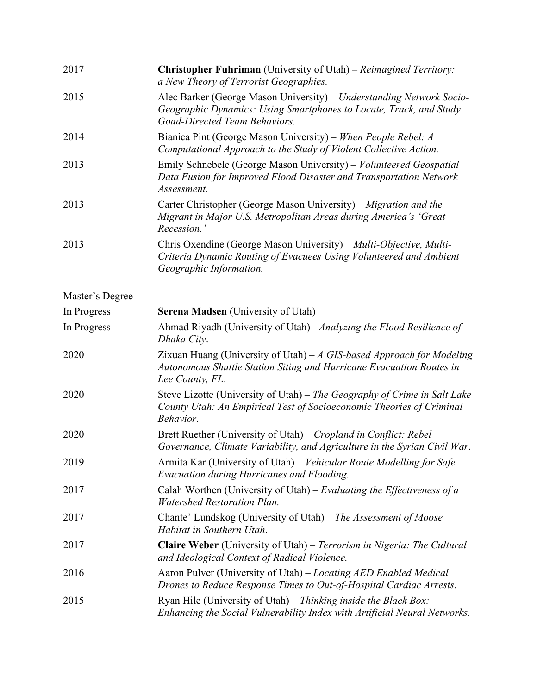| 2017            | <b>Christopher Fuhriman</b> (University of Utah) – Reimagined Territory:<br>a New Theory of Terrorist Geographies.                                                          |
|-----------------|-----------------------------------------------------------------------------------------------------------------------------------------------------------------------------|
| 2015            | Alec Barker (George Mason University) – Understanding Network Socio-<br>Geographic Dynamics: Using Smartphones to Locate, Track, and Study<br>Goad-Directed Team Behaviors. |
| 2014            | Bianica Pint (George Mason University) – When People Rebel: A<br>Computational Approach to the Study of Violent Collective Action.                                          |
| 2013            | Emily Schnebele (George Mason University) – Volunteered Geospatial<br>Data Fusion for Improved Flood Disaster and Transportation Network<br>Assessment.                     |
| 2013            | Carter Christopher (George Mason University) – Migration and the<br>Migrant in Major U.S. Metropolitan Areas during America's 'Great<br>Recession.'                         |
| 2013            | Chris Oxendine (George Mason University) – Multi-Objective, Multi-<br>Criteria Dynamic Routing of Evacuees Using Volunteered and Ambient<br>Geographic Information.         |
| Master's Degree |                                                                                                                                                                             |
| In Progress     | <b>Serena Madsen</b> (University of Utah)                                                                                                                                   |
| In Progress     | Ahmad Riyadh (University of Utah) - Analyzing the Flood Resilience of<br>Dhaka City.                                                                                        |
| 2020            | Zixuan Huang (University of Utah) $-A$ GIS-based Approach for Modeling<br>Autonomous Shuttle Station Siting and Hurricane Evacuation Routes in<br>Lee County, FL.           |
| 2020            | Steve Lizotte (University of Utah) – The Geography of Crime in Salt Lake<br>County Utah: An Empirical Test of Socioeconomic Theories of Criminal<br>Behavior.               |
| 2020            | Brett Ruether (University of Utah) – Cropland in Conflict: Rebel<br>Governance, Climate Variability, and Agriculture in the Syrian Civil War.                               |
| 2019            | Armita Kar (University of Utah) – Vehicular Route Modelling for Safe<br>Evacuation during Hurricanes and Flooding.                                                          |
| 2017            | Calah Worthen (University of Utah) – Evaluating the Effectiveness of a<br><b>Watershed Restoration Plan.</b>                                                                |
| 2017            | Chante' Lundskog (University of Utah) – The Assessment of Moose<br>Habitat in Southern Utah.                                                                                |
| 2017            | Claire Weber (University of Utah) - Terrorism in Nigeria: The Cultural<br>and Ideological Context of Radical Violence.                                                      |
| 2016            | Aaron Pulver (University of Utah) – Locating AED Enabled Medical<br>Drones to Reduce Response Times to Out-of-Hospital Cardiac Arrests.                                     |
| 2015            | Ryan Hile (University of Utah) – Thinking inside the Black Box:<br>Enhancing the Social Vulnerability Index with Artificial Neural Networks.                                |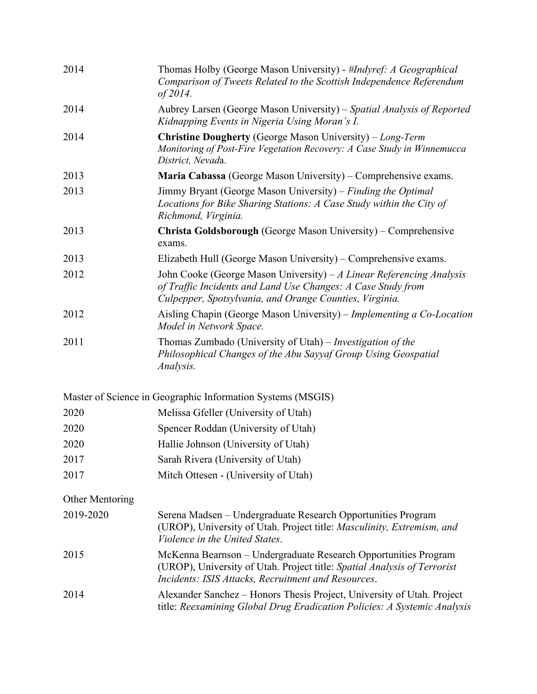| 2014            | Thomas Holby (George Mason University) - #Indyref: A Geographical<br>Comparison of Tweets Related to the Scottish Independence Referendum<br>of 2014.                                              |
|-----------------|----------------------------------------------------------------------------------------------------------------------------------------------------------------------------------------------------|
| 2014            | Aubrey Larsen (George Mason University) – Spatial Analysis of Reported<br>Kidnapping Events in Nigeria Using Moran's I.                                                                            |
| 2014            | <b>Christine Dougherty</b> (George Mason University) – Long-Term<br>Monitoring of Post-Fire Vegetation Recovery: A Case Study in Winnemucca<br>District, Nevada.                                   |
| 2013            | Maria Cabassa (George Mason University) – Comprehensive exams.                                                                                                                                     |
| 2013            | Jimmy Bryant (George Mason University) – Finding the Optimal<br>Locations for Bike Sharing Stations: A Case Study within the City of<br>Richmond, Virginia.                                        |
| 2013            | Christa Goldsborough (George Mason University) – Comprehensive<br>exams.                                                                                                                           |
| 2013            | Elizabeth Hull (George Mason University) – Comprehensive exams.                                                                                                                                    |
| 2012            | John Cooke (George Mason University) $-A$ Linear Referencing Analysis<br>of Traffic Incidents and Land Use Changes: A Case Study from<br>Culpepper, Spotsylvania, and Orange Counties, Virginia.   |
| 2012            | Aisling Chapin (George Mason University) - Implementing a Co-Location<br>Model in Network Space.                                                                                                   |
| 2011            | Thomas Zumbado (University of Utah) – <i>Investigation of the</i><br>Philosophical Changes of the Abu Sayyaf Group Using Geospatial<br>Analysis.                                                   |
|                 | Master of Science in Geographic Information Systems (MSGIS)                                                                                                                                        |
| 2020            | Melissa Gfeller (University of Utah)                                                                                                                                                               |
| 2020            | Spencer Roddan (University of Utah)                                                                                                                                                                |
| 2020            | Hallie Johnson (University of Utah)                                                                                                                                                                |
| 2017            | Sarah Rivera (University of Utah)                                                                                                                                                                  |
| 2017            | Mitch Ottesen - (University of Utah)                                                                                                                                                               |
| Other Mentoring |                                                                                                                                                                                                    |
| 2019-2020       | Serena Madsen – Undergraduate Research Opportunities Program<br>(UROP), University of Utah. Project title: Masculinity, Extremism, and<br>Violence in the United States.                           |
| 2015            | McKenna Bearnson - Undergraduate Research Opportunities Program<br>(UROP), University of Utah. Project title: Spatial Analysis of Terrorist<br>Incidents: ISIS Attacks, Recruitment and Resources. |
| 2014            | Alexander Sanchez – Honors Thesis Project, University of Utah. Project<br>title: Reexamining Global Drug Eradication Policies: A Systemic Analysis                                                 |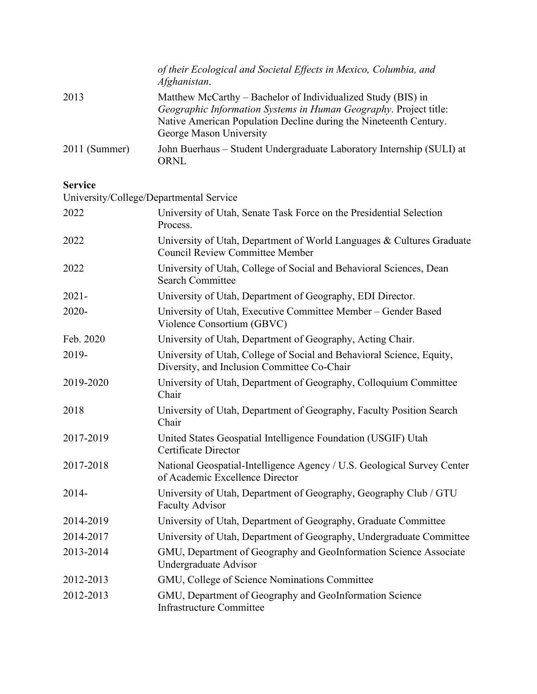|               | of their Ecological and Societal Effects in Mexico, Columbia, and<br>Afghanistan.                                                                                                                                                 |
|---------------|-----------------------------------------------------------------------------------------------------------------------------------------------------------------------------------------------------------------------------------|
| 2013          | Matthew McCarthy – Bachelor of Individualized Study (BIS) in<br>Geographic Information Systems in Human Geography. Project title:<br>Native American Population Decline during the Nineteenth Century.<br>George Mason University |
| 2011 (Summer) | John Buerhaus – Student Undergraduate Laboratory Internship (SULI) at<br>ORNL                                                                                                                                                     |

#### **Service**

| University/College/Departmental Service |                                                                                                                      |
|-----------------------------------------|----------------------------------------------------------------------------------------------------------------------|
| 2022                                    | University of Utah, Senate Task Force on the Presidential Selection<br>Process.                                      |
| 2022                                    | University of Utah, Department of World Languages & Cultures Graduate<br><b>Council Review Committee Member</b>      |
| 2022                                    | University of Utah, College of Social and Behavioral Sciences, Dean<br><b>Search Committee</b>                       |
| $2021 -$                                | University of Utah, Department of Geography, EDI Director.                                                           |
| 2020-                                   | University of Utah, Executive Committee Member - Gender Based<br>Violence Consortium (GBVC)                          |
| Feb. 2020                               | University of Utah, Department of Geography, Acting Chair.                                                           |
| 2019-                                   | University of Utah, College of Social and Behavioral Science, Equity,<br>Diversity, and Inclusion Committee Co-Chair |
| 2019-2020                               | University of Utah, Department of Geography, Colloquium Committee<br>Chair                                           |
| 2018                                    | University of Utah, Department of Geography, Faculty Position Search<br>Chair                                        |
| 2017-2019                               | United States Geospatial Intelligence Foundation (USGIF) Utah<br>Certificate Director                                |
| 2017-2018                               | National Geospatial-Intelligence Agency / U.S. Geological Survey Center<br>of Academic Excellence Director           |
| $2014 -$                                | University of Utah, Department of Geography, Geography Club / GTU<br><b>Faculty Advisor</b>                          |
| 2014-2019                               | University of Utah, Department of Geography, Graduate Committee                                                      |
| 2014-2017                               | University of Utah, Department of Geography, Undergraduate Committee                                                 |
| 2013-2014                               | GMU, Department of Geography and GeoInformation Science Associate<br>Undergraduate Advisor                           |
| 2012-2013                               | GMU, College of Science Nominations Committee                                                                        |
| 2012-2013                               | GMU, Department of Geography and GeoInformation Science<br><b>Infrastructure Committee</b>                           |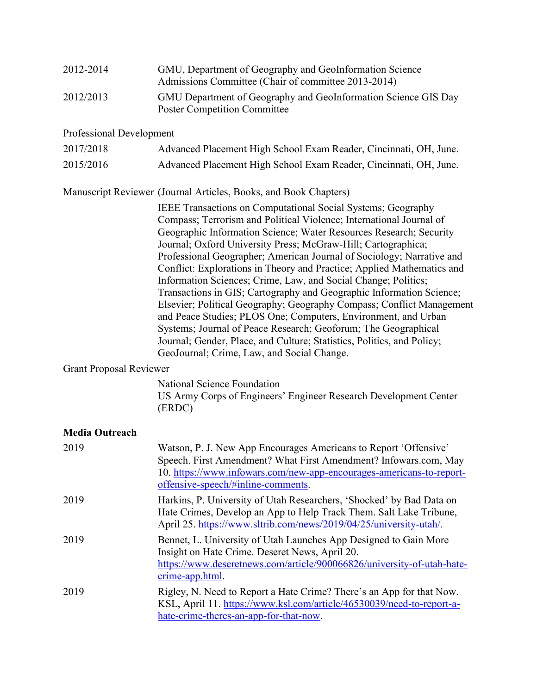| 2012-2014 | GMU, Department of Geography and GeoInformation Science<br>Admissions Committee (Chair of committee 2013-2014) |
|-----------|----------------------------------------------------------------------------------------------------------------|
| 2012/2013 | GMU Department of Geography and GeoInformation Science GIS Day<br><b>Poster Competition Committee</b>          |

#### Professional Development

| 2017/2018 | Advanced Placement High School Exam Reader, Cincinnati, OH, June. |
|-----------|-------------------------------------------------------------------|
| 2015/2016 | Advanced Placement High School Exam Reader, Cincinnati, OH, June. |

#### Manuscript Reviewer (Journal Articles, Books, and Book Chapters)

IEEE Transactions on Computational Social Systems; Geography Compass; Terrorism and Political Violence; International Journal of Geographic Information Science; Water Resources Research; Security Journal; Oxford University Press; McGraw-Hill; Cartographica; Professional Geographer; American Journal of Sociology; Narrative and Conflict: Explorations in Theory and Practice; Applied Mathematics and Information Sciences; Crime, Law, and Social Change; Politics; Transactions in GIS; Cartography and Geographic Information Science; Elsevier; Political Geography; Geography Compass; Conflict Management and Peace Studies; PLOS One; Computers, Environment, and Urban Systems; Journal of Peace Research; Geoforum; The Geographical Journal; Gender, Place, and Culture; Statistics, Politics, and Policy; GeoJournal; Crime, Law, and Social Change.

#### Grant Proposal Reviewer

National Science Foundation US Army Corps of Engineers' Engineer Research Development Center (ERDC)

#### **Media Outreach**

| 2019 | Watson, P. J. New App Encourages Americans to Report 'Offensive'<br>Speech. First Amendment? What First Amendment? Infowars.com, May<br>10. https://www.infowars.com/new-app-encourages-americans-to-report-<br>offensive-speech/#inline-comments. |
|------|----------------------------------------------------------------------------------------------------------------------------------------------------------------------------------------------------------------------------------------------------|
| 2019 | Harkins, P. University of Utah Researchers, 'Shocked' by Bad Data on<br>Hate Crimes, Develop an App to Help Track Them. Salt Lake Tribune,<br>April 25. https://www.sltrib.com/news/2019/04/25/university-utah/.                                   |
| 2019 | Bennet, L. University of Utah Launches App Designed to Gain More<br>Insight on Hate Crime. Deseret News, April 20.<br>https://www.deseretnews.com/article/900066826/university-of-utah-hate-<br>crime-app.html.                                    |
| 2019 | Rigley, N. Need to Report a Hate Crime? There's an App for that Now.<br>KSL, April 11. https://www.ksl.com/article/46530039/need-to-report-a-<br>hate-crime-theres-an-app-for-that-now.                                                            |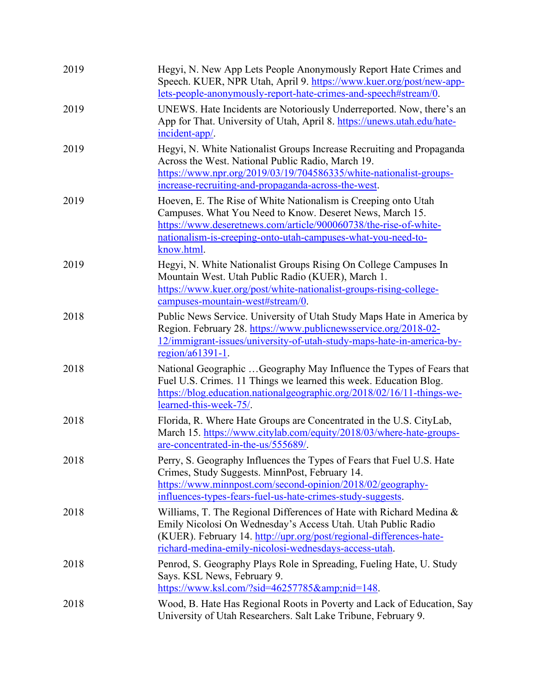| 2019 | Hegyi, N. New App Lets People Anonymously Report Hate Crimes and<br>Speech. KUER, NPR Utah, April 9. https://www.kuer.org/post/new-app-<br>lets-people-anonymously-report-hate-crimes-and-speech#stream/0.                                                                   |
|------|------------------------------------------------------------------------------------------------------------------------------------------------------------------------------------------------------------------------------------------------------------------------------|
| 2019 | UNEWS. Hate Incidents are Notoriously Underreported. Now, there's an<br>App for That. University of Utah, April 8. https://unews.utah.edu/hate-<br>incident-app/.                                                                                                            |
| 2019 | Hegyi, N. White Nationalist Groups Increase Recruiting and Propaganda<br>Across the West. National Public Radio, March 19.<br>https://www.npr.org/2019/03/19/704586335/white-nationalist-groups-<br>increase-recruiting-and-propaganda-across-the-west.                      |
| 2019 | Hoeven, E. The Rise of White Nationalism is Creeping onto Utah<br>Campuses. What You Need to Know. Deseret News, March 15.<br>https://www.deseretnews.com/article/900060738/the-rise-of-white-<br>nationalism-is-creeping-onto-utah-campuses-what-you-need-to-<br>know.html. |
| 2019 | Hegyi, N. White Nationalist Groups Rising On College Campuses In<br>Mountain West. Utah Public Radio (KUER), March 1.<br>https://www.kuer.org/post/white-nationalist-groups-rising-college-<br>campuses-mountain-west#stream/0.                                              |
| 2018 | Public News Service. University of Utah Study Maps Hate in America by<br>Region. February 28. https://www.publicnewsservice.org/2018-02-<br>12/immigrant-issues/university-of-utah-study-maps-hate-in-america-by-<br>region/a61391-1.                                        |
| 2018 | National Geographic Geography May Influence the Types of Fears that<br>Fuel U.S. Crimes. 11 Things we learned this week. Education Blog.<br>https://blog.education.nationalgeographic.org/2018/02/16/11-things-we-<br>learned-this-week-75/.                                 |
| 2018 | Florida, R. Where Hate Groups are Concentrated in the U.S. CityLab,<br>March 15. https://www.citylab.com/equity/2018/03/where-hate-groups-<br>are-concentrated-in-the-us/555689/.                                                                                            |
| 2018 | Perry, S. Geography Influences the Types of Fears that Fuel U.S. Hate<br>Crimes, Study Suggests. MinnPost, February 14.<br>https://www.minnpost.com/second-opinion/2018/02/geography-<br>influences-types-fears-fuel-us-hate-crimes-study-suggests.                          |
| 2018 | Williams, T. The Regional Differences of Hate with Richard Medina &<br>Emily Nicolosi On Wednesday's Access Utah. Utah Public Radio<br>(KUER). February 14. http://upr.org/post/regional-differences-hate-<br>richard-medina-emily-nicolosi-wednesdays-access-utah.          |
| 2018 | Penrod, S. Geography Plays Role in Spreading, Fueling Hate, U. Study<br>Says. KSL News, February 9.<br>https://www.ksl.com/?sid=46257785&nid=148.                                                                                                                            |
| 2018 | Wood, B. Hate Has Regional Roots in Poverty and Lack of Education, Say<br>University of Utah Researchers. Salt Lake Tribune, February 9.                                                                                                                                     |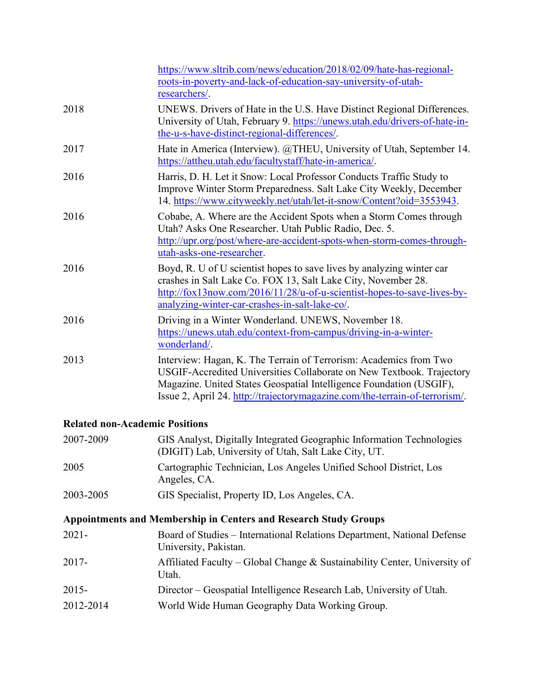|      | https://www.sltrib.com/news/education/2018/02/09/hate-has-regional-<br>roots-in-poverty-and-lack-of-education-say-university-of-utah-<br>researchers/.                                                                                                                                           |
|------|--------------------------------------------------------------------------------------------------------------------------------------------------------------------------------------------------------------------------------------------------------------------------------------------------|
| 2018 | UNEWS. Drivers of Hate in the U.S. Have Distinct Regional Differences.<br>University of Utah, February 9. https://unews.utah.edu/drivers-of-hate-in-<br>the-u-s-have-distinct-regional-differences/.                                                                                             |
| 2017 | Hate in America (Interview). @THEU, University of Utah, September 14.<br>https://attheu.utah.edu/facultystaff/hate-in-america/.                                                                                                                                                                  |
| 2016 | Harris, D. H. Let it Snow: Local Professor Conducts Traffic Study to<br>Improve Winter Storm Preparedness. Salt Lake City Weekly, December<br>14. https://www.cityweekly.net/utah/let-it-snow/Content?oid=3553943.                                                                               |
| 2016 | Cobabe, A. Where are the Accident Spots when a Storm Comes through<br>Utah? Asks One Researcher. Utah Public Radio, Dec. 5.<br>http://upr.org/post/where-are-accident-spots-when-storm-comes-through-<br>utah-asks-one-researcher.                                                               |
| 2016 | Boyd, R. U of U scientist hopes to save lives by analyzing winter car<br>crashes in Salt Lake Co. FOX 13, Salt Lake City, November 28.<br>http://fox13now.com/2016/11/28/u-of-u-scientist-hopes-to-save-lives-by-<br>analyzing-winter-car-crashes-in-salt-lake-co/.                              |
| 2016 | Driving in a Winter Wonderland. UNEWS, November 18.<br>https://unews.utah.edu/context-from-campus/driving-in-a-winter-<br>wonderland/.                                                                                                                                                           |
| 2013 | Interview: Hagan, K. The Terrain of Terrorism: Academics from Two<br>USGIF-Accredited Universities Collaborate on New Textbook. Trajectory<br>Magazine. United States Geospatial Intelligence Foundation (USGIF),<br>Issue 2, April 24. http://trajectorymagazine.com/the-terrain-of-terrorism/. |

## **Related non-Academic Positions**

| 2007-2009                                                               | GIS Analyst, Digitally Integrated Geographic Information Technologies<br>(DIGIT) Lab, University of Utah, Salt Lake City, UT. |  |
|-------------------------------------------------------------------------|-------------------------------------------------------------------------------------------------------------------------------|--|
| 2005                                                                    | Cartographic Technician, Los Angeles Unified School District, Los<br>Angeles, CA.                                             |  |
| 2003-2005                                                               | GIS Specialist, Property ID, Los Angeles, CA.                                                                                 |  |
| <b>Appointments and Membership in Centers and Research Study Groups</b> |                                                                                                                               |  |
| $2021 -$                                                                | Board of Studies – International Relations Department, National Defense<br>University, Pakistan.                              |  |

| $2017 -$ | Affiliated Faculty – Global Change & Sustainability Center, University of |
|----------|---------------------------------------------------------------------------|
|          | Utah.                                                                     |
| $2015 -$ | Director – Geospatial Intelligence Research Lab, University of Utah.      |

2012-2014 World Wide Human Geography Data Working Group.